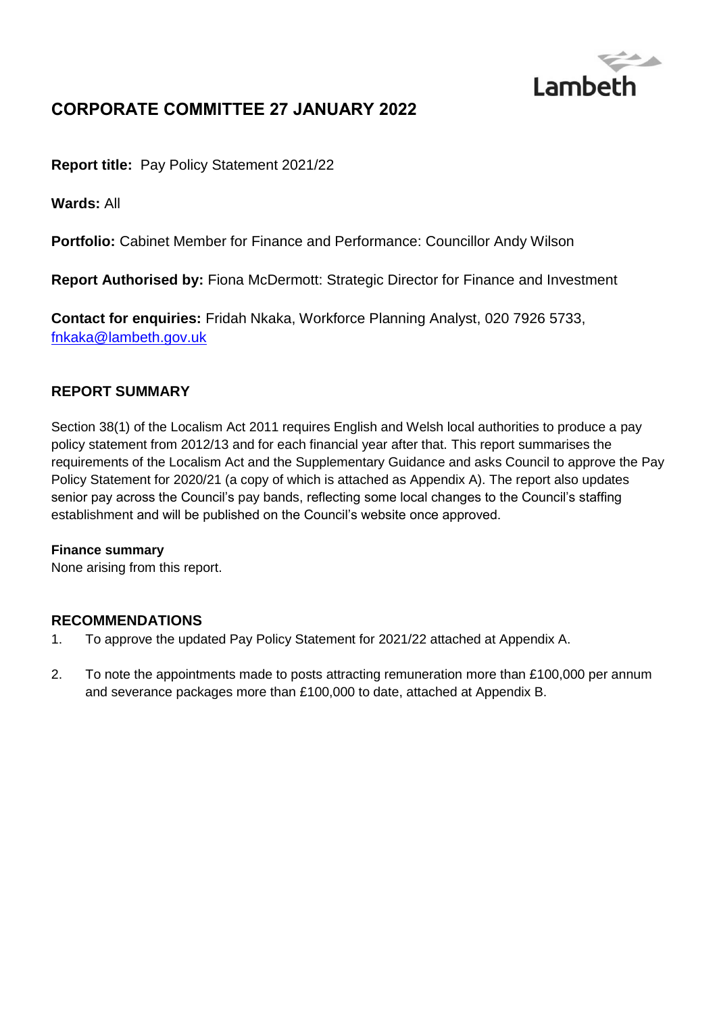

# **CORPORATE COMMITTEE 27 JANUARY 2022**

**Report title:** Pay Policy Statement 2021/22

**Wards:** All

**Portfolio:** Cabinet Member for Finance and Performance: Councillor Andy Wilson

**Report Authorised by:** Fiona McDermott: Strategic Director for Finance and Investment

**Contact for enquiries:** Fridah Nkaka, Workforce Planning Analyst, 020 7926 5733, [fnkaka@lambeth.gov.uk](mailto:fnkaka@lambeth.gov.uk)

### **REPORT SUMMARY**

Section 38(1) of the Localism Act 2011 requires English and Welsh local authorities to produce a pay policy statement from 2012/13 and for each financial year after that. This report summarises the requirements of the Localism Act and the Supplementary Guidance and asks Council to approve the Pay Policy Statement for 2020/21 (a copy of which is attached as Appendix A). The report also updates senior pay across the Council's pay bands, reflecting some local changes to the Council's staffing establishment and will be published on the Council's website once approved.

#### **Finance summary**

None arising from this report.

#### **RECOMMENDATIONS**

- 1. To approve the updated Pay Policy Statement for 2021/22 attached at Appendix A.
- 2. To note the appointments made to posts attracting remuneration more than £100,000 per annum and severance packages more than £100,000 to date, attached at Appendix B.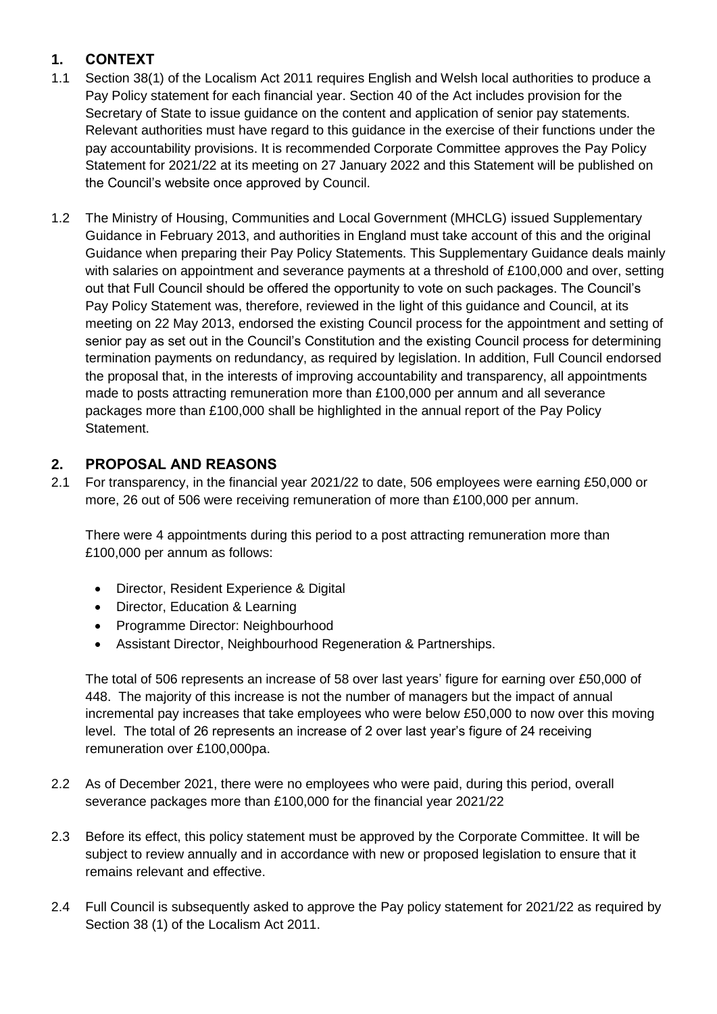## **1. CONTEXT**

- 1.1 Section 38(1) of the Localism Act 2011 requires English and Welsh local authorities to produce a Pay Policy statement for each financial year. Section 40 of the Act includes provision for the Secretary of State to issue guidance on the content and application of senior pay statements. Relevant authorities must have regard to this guidance in the exercise of their functions under the pay accountability provisions. It is recommended Corporate Committee approves the Pay Policy Statement for 2021/22 at its meeting on 27 January 2022 and this Statement will be published on the Council's website once approved by Council.
- 1.2 The Ministry of Housing, Communities and Local Government (MHCLG) issued Supplementary Guidance in February 2013, and authorities in England must take account of this and the original Guidance when preparing their Pay Policy Statements. This Supplementary Guidance deals mainly with salaries on appointment and severance payments at a threshold of £100,000 and over, setting out that Full Council should be offered the opportunity to vote on such packages. The Council's Pay Policy Statement was, therefore, reviewed in the light of this guidance and Council, at its meeting on 22 May 2013, endorsed the existing Council process for the appointment and setting of senior pay as set out in the Council's Constitution and the existing Council process for determining termination payments on redundancy, as required by legislation. In addition, Full Council endorsed the proposal that, in the interests of improving accountability and transparency, all appointments made to posts attracting remuneration more than £100,000 per annum and all severance packages more than £100,000 shall be highlighted in the annual report of the Pay Policy Statement.

## **2. PROPOSAL AND REASONS**

2.1 For transparency, in the financial year 2021/22 to date, 506 employees were earning £50,000 or more, 26 out of 506 were receiving remuneration of more than £100,000 per annum.

There were 4 appointments during this period to a post attracting remuneration more than £100,000 per annum as follows:

- Director, Resident Experience & Digital
- Director, Education & Learning
- Programme Director: Neighbourhood
- Assistant Director, Neighbourhood Regeneration & Partnerships.

The total of 506 represents an increase of 58 over last years' figure for earning over £50,000 of 448. The majority of this increase is not the number of managers but the impact of annual incremental pay increases that take employees who were below £50,000 to now over this moving level. The total of 26 represents an increase of 2 over last year's figure of 24 receiving remuneration over £100,000pa.

- 2.2 As of December 2021, there were no employees who were paid, during this period, overall severance packages more than £100,000 for the financial year 2021/22
- 2.3 Before its effect, this policy statement must be approved by the Corporate Committee. It will be subject to review annually and in accordance with new or proposed legislation to ensure that it remains relevant and effective.
- 2.4 Full Council is subsequently asked to approve the Pay policy statement for 2021/22 as required by Section 38 (1) of the Localism Act 2011.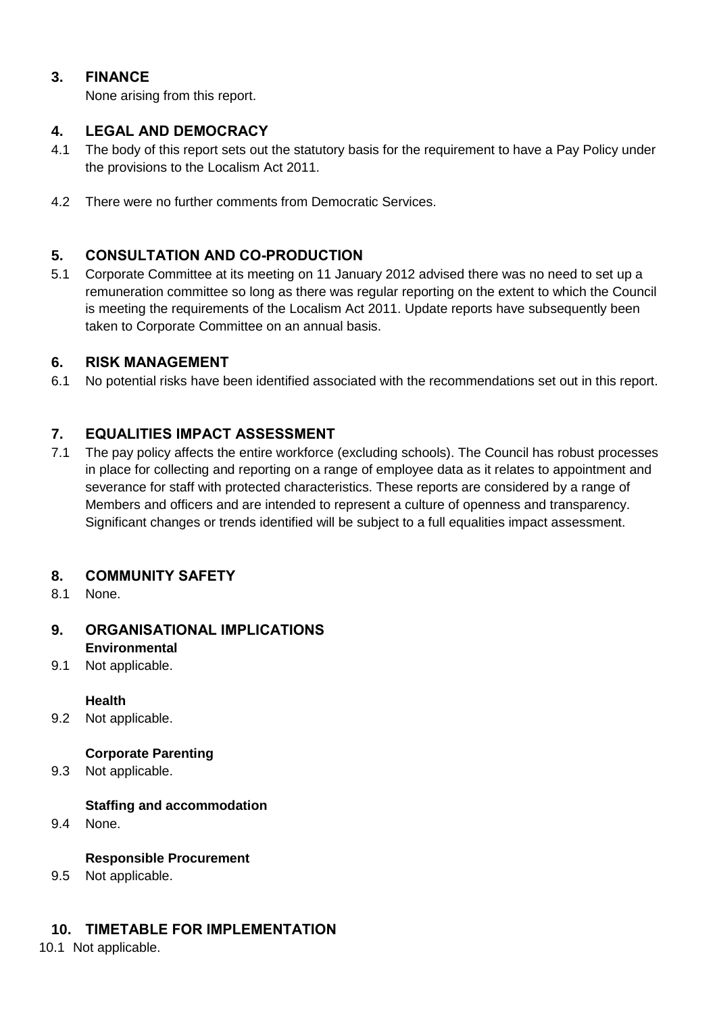### **3. FINANCE**

None arising from this report.

#### **4. LEGAL AND DEMOCRACY**

- 4.1 The body of this report sets out the statutory basis for the requirement to have a Pay Policy under the provisions to the Localism Act 2011.
- 4.2 There were no further comments from Democratic Services.

### **5. CONSULTATION AND CO-PRODUCTION**

5.1 Corporate Committee at its meeting on 11 January 2012 advised there was no need to set up a remuneration committee so long as there was regular reporting on the extent to which the Council is meeting the requirements of the Localism Act 2011. Update reports have subsequently been taken to Corporate Committee on an annual basis.

#### **6. RISK MANAGEMENT**

6.1 No potential risks have been identified associated with the recommendations set out in this report.

### **7. EQUALITIES IMPACT ASSESSMENT**

7.1 The pay policy affects the entire workforce (excluding schools). The Council has robust processes in place for collecting and reporting on a range of employee data as it relates to appointment and severance for staff with protected characteristics. These reports are considered by a range of Members and officers and are intended to represent a culture of openness and transparency. Significant changes or trends identified will be subject to a full equalities impact assessment.

#### **8. COMMUNITY SAFETY**

8.1 None.

### **9. ORGANISATIONAL IMPLICATIONS Environmental**

9.1 Not applicable.

#### **Health**

9.2 Not applicable.

#### **Corporate Parenting**

9.3 Not applicable.

#### **Staffing and accommodation**

9.4 None.

#### **Responsible Procurement**

9.5 Not applicable.

### **10. TIMETABLE FOR IMPLEMENTATION**

10.1 Not applicable.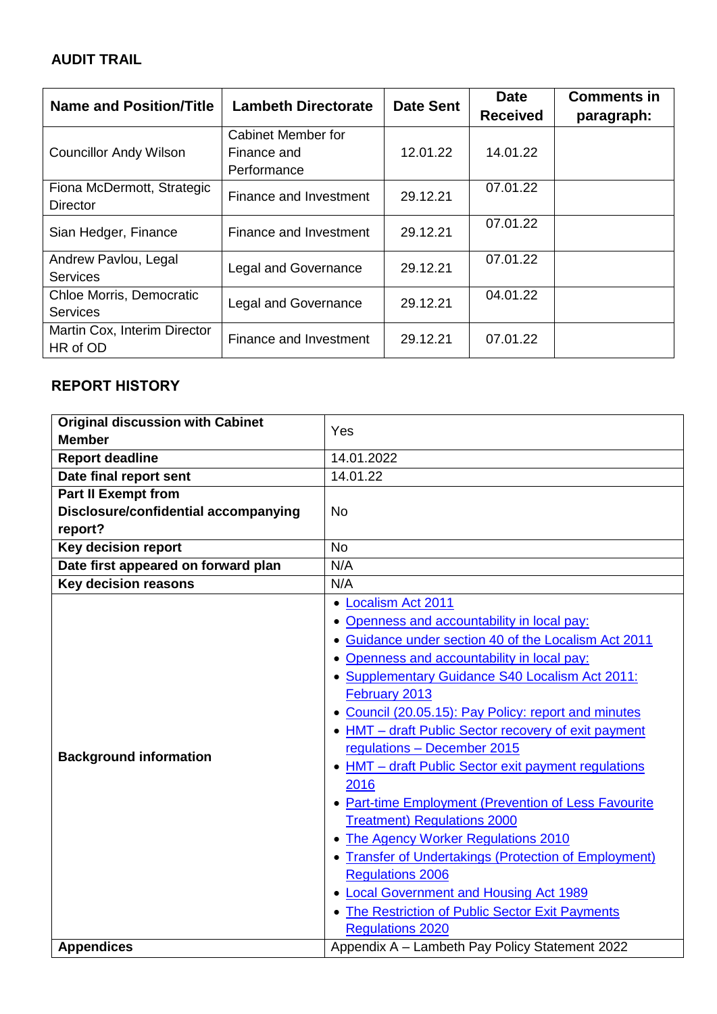## **AUDIT TRAIL**

| Name and Position/Title                       | <b>Lambeth Directorate</b>                       | <b>Date Sent</b> | <b>Date</b>     | <b>Comments in</b> |
|-----------------------------------------------|--------------------------------------------------|------------------|-----------------|--------------------|
|                                               |                                                  |                  | <b>Received</b> | paragraph:         |
| <b>Councillor Andy Wilson</b>                 | Cabinet Member for<br>Finance and<br>Performance | 12.01.22         | 14.01.22        |                    |
| Fiona McDermott, Strategic<br><b>Director</b> | Finance and Investment                           | 29.12.21         | 07.01.22        |                    |
| Sian Hedger, Finance                          | Finance and Investment                           | 29.12.21         | 07.01.22        |                    |
| Andrew Pavlou, Legal<br><b>Services</b>       | <b>Legal and Governance</b>                      | 29.12.21         | 07.01.22        |                    |
| Chloe Morris, Democratic<br><b>Services</b>   | <b>Legal and Governance</b>                      | 29.12.21         | 04.01.22        |                    |
| Martin Cox, Interim Director<br>HR of OD      | Finance and Investment                           | 29.12.21         | 07.01.22        |                    |

## **REPORT HISTORY**

| <b>Original discussion with Cabinet</b> | Yes                                                   |
|-----------------------------------------|-------------------------------------------------------|
| <b>Member</b>                           |                                                       |
| <b>Report deadline</b>                  | 14.01.2022                                            |
| Date final report sent                  | 14.01.22                                              |
| <b>Part II Exempt from</b>              |                                                       |
| Disclosure/confidential accompanying    | <b>No</b>                                             |
| report?                                 |                                                       |
| <b>Key decision report</b>              | <b>No</b>                                             |
| Date first appeared on forward plan     | N/A                                                   |
| <b>Key decision reasons</b>             | N/A                                                   |
|                                         | <b>Localism Act 2011</b>                              |
|                                         | • Openness and accountability in local pay:           |
|                                         | • Guidance under section 40 of the Localism Act 2011  |
|                                         | Openness and accountability in local pay:             |
|                                         | • Supplementary Guidance S40 Localism Act 2011:       |
|                                         | February 2013                                         |
|                                         | Council (20.05.15): Pay Policy: report and minutes    |
|                                         | • HMT - draft Public Sector recovery of exit payment  |
| <b>Background information</b>           | regulations - December 2015                           |
|                                         | • HMT - draft Public Sector exit payment regulations  |
|                                         | 2016                                                  |
|                                         | • Part-time Employment (Prevention of Less Favourite  |
|                                         | <b>Treatment) Regulations 2000</b>                    |
|                                         | • The Agency Worker Regulations 2010                  |
|                                         | • Transfer of Undertakings (Protection of Employment) |
|                                         | <b>Regulations 2006</b>                               |
|                                         | • Local Government and Housing Act 1989               |
|                                         | • The Restriction of Public Sector Exit Payments      |
|                                         | <b>Regulations 2020</b>                               |
| <b>Appendices</b>                       | Appendix A - Lambeth Pay Policy Statement 2022        |